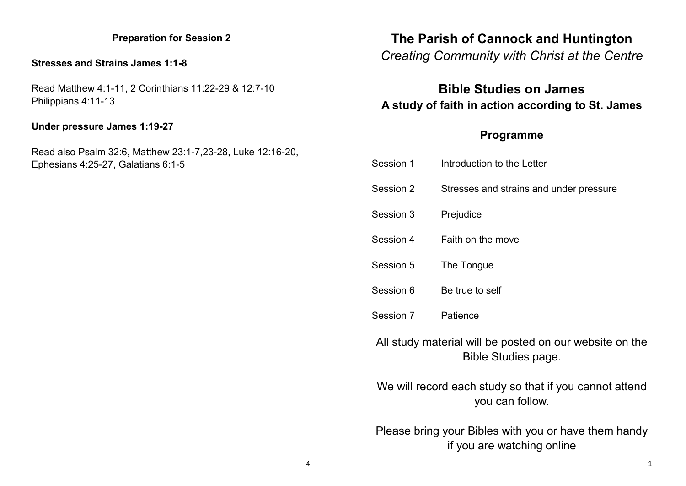### **Preparation for Session 2**

#### **Stresses and Strains James 1:1-8**

Read Matthew 4:1-11, 2 Corinthians 11:22-29 & 12:7-10 Philippians 4:11-13

### **Under pressure James 1:19-27**

Read also Psalm 32:6, Matthew 23:1-7,23-28, Luke 12:16-20, Ephesians 4:25-27, Galatians 6:1-5

## **The Parish of Cannock and Huntington**

# *Creating Community with Christ at the Centre*

# **Bible Studies on James A study of faith in action according to St. James**

### **Programme**

| Session 1                                               | Introduction to the Letter              |  |
|---------------------------------------------------------|-----------------------------------------|--|
| Session 2                                               | Stresses and strains and under pressure |  |
| Session 3                                               | Prejudice                               |  |
| Session 4                                               | Faith on the move                       |  |
| Session 5                                               | The Tongue                              |  |
| Session 6                                               | Be true to self                         |  |
| Session 7                                               | Patience                                |  |
| All study material will be posted on our website on the |                                         |  |

Bible Studies page.

We will record each study so that if you cannot attend you can follow.

Please bring your Bibles with you or have them handy if you are watching online